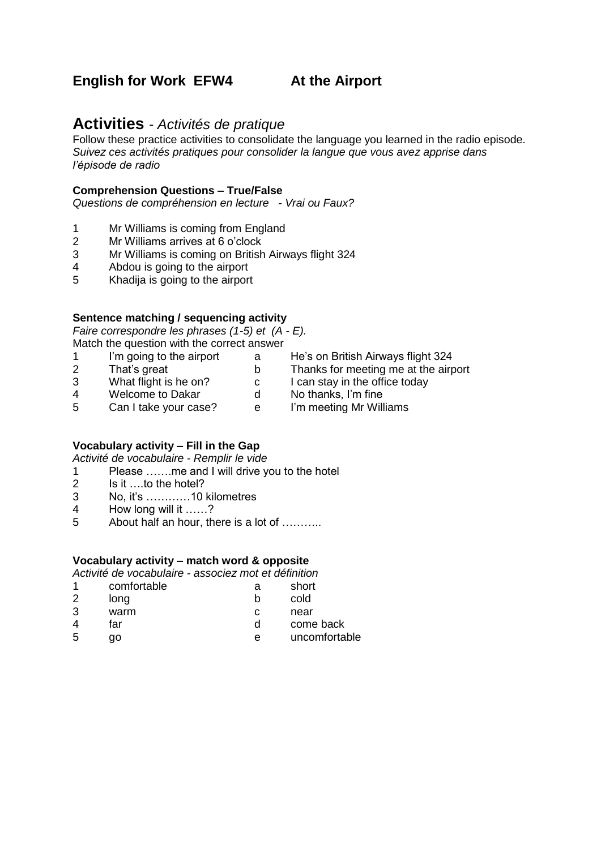# **English for Work EFW4 4 At the Airport**

# **Activities** *- Activités de pratique*

Follow these practice activities to consolidate the language you learned in the radio episode. *Suivez ces activités pratiques pour consolider la langue que vous avez apprise dans l'épisode de radio*

#### **Comprehension Questions – True/False**

*Questions de compréhension en lecture - Vrai ou Faux?*

- 1 Mr Williams is coming from England
- 2 Mr Williams arrives at 6 o'clock
- 3 Mr Williams is coming on British Airways flight 324
- 4 Abdou is going to the airport
- 5 Khadija is going to the airport

#### **Sentence matching / sequencing activity**

*Faire correspondre les phrases (1-5) et (A - E).* Match the question with the correct answer

- 1 I'm going to the airport a He's on British Airways flight 324
- 
- 
- 2 That's great b Thanks for meeting me at the airport<br>3 What flight is he on? c I can stay in the office today
	- What flight is he on?<br>
	3 Welcome to Dakar<br>
	3 Can I take your case?<br>
	3 Can I take your case?<br>
	2 Can I take your case?<br>
	2 Can I take your case?<br>
	2 Can I take your case?<br>
	2 Can I take your case?
- 4 Welcome to Dakar
- 5 Can I take your case? e I'm meeting Mr Williams

# **Vocabulary activity – Fill in the Gap**

*Activité de vocabulaire - Remplir le vide*

1 Please …….me and I will drive you to the hotel

- 2 Is it ….to the hotel?
- 3 No, it's …………10 kilometres
- 4 How long will it ……?
- 5 About half an hour, there is a lot of ………..

#### **Vocabulary activity – match word & opposite**

*Activité de vocabulaire - associez mot et définition*

|   | comfortable | a | short         |
|---|-------------|---|---------------|
| 2 | long        |   | cold          |
| 3 | warm        | С | near          |
| 4 | far         |   | come back     |
| 5 | go          | е | uncomfortable |